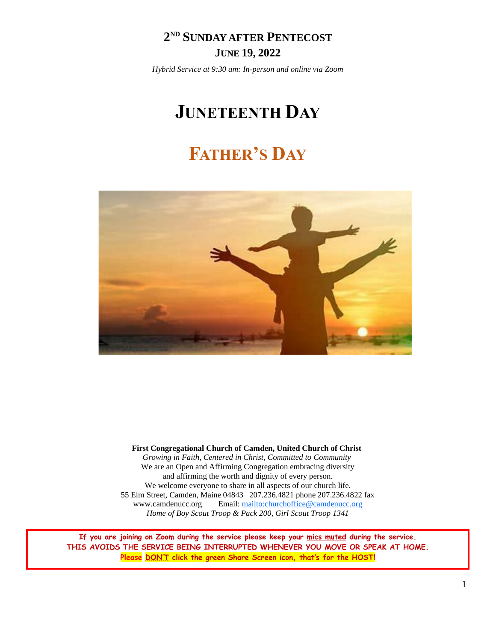### **2 ND SUNDAY AFTER PENTECOST JUNE 19, 2022**

*Hybrid Service at 9:30 am: In-person and online via Zoom*

# **JUNETEENTH DAY**

## **FATHER'S DAY**



**First Congregational Church of Camden, United Church of Christ** *Growing in Faith, Centered in Christ, Committed to Community* We are an Open and Affirming Congregation embracing diversity and affirming the worth and dignity of every person. We welcome everyone to share in all aspects of our church life. 55 Elm Street, Camden, Maine 04843 207.236.4821 phone 207.236.4822 fax www.camdenucc.org Email[: mailto:churchoffice@camdenucc.org](mailto:churchoffice@camdenucc.org) *Home of Boy Scout Troop & Pack 200, Girl Scout Troop 1341*

**If you are joining on Zoom during the service please keep your mics muted during the service. THIS AVOIDS THE SERVICE BEING INTERRUPTED WHENEVER YOU MOVE OR SPEAK AT HOME. Please DON'T click the green Share Screen icon, that's for the HOST!**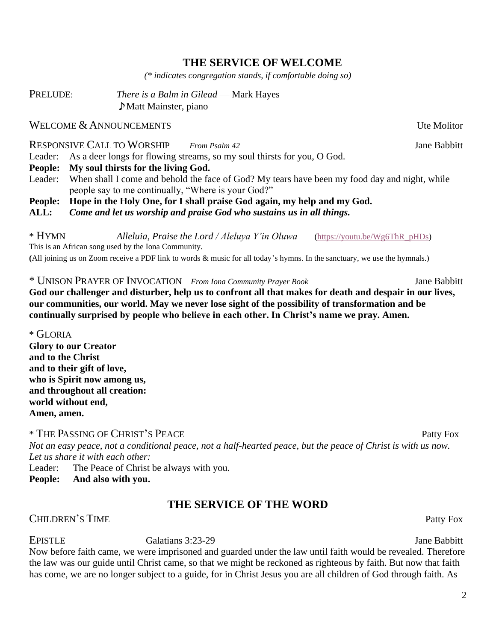### **THE SERVICE OF WELCOME**

*(\* indicates congregation stands, if comfortable doing so)*

PRELUDE: *There is a Balm in Gilead* — Mark Hayes ♪Matt Mainster, piano

WELCOME & ANNOUNCEMENTS Ute Molitor

RESPONSIVE CALL TO WORSHIP *From Psalm 42* Jane Babbitt

Leader: As a deer longs for flowing streams, so my soul thirsts for you, O God.

#### **People: My soul thirsts for the living God.**

- Leader: When shall I come and behold the face of God? My tears have been my food day and night, while people say to me continually, "Where is your God?"
- **People: Hope in the Holy One, for I shall praise God again, my help and my God.**
- **ALL:** *Come and let us worship and praise God who sustains us in all things.*
- \* HYMN *Alleluia, Praise the Lord / Aleluya Y'in Oluwa* [\(https://youtu.be/Wg6ThR\\_pHDs\)](https://youtu.be/Wg6ThR_pHDs) This is an African song used by the Iona Community. **(**All joining us on Zoom receive a PDF link to words & music for all today's hymns. In the sanctuary, we use the hymnals.)
- \* UNISON PRAYER OF INVOCATION *From Iona Community Prayer Book* Jane Babbitt

**God our challenger and disturber, help us to confront all that makes for death and despair in our lives, our communities, our world. May we never lose sight of the possibility of transformation and be continually surprised by people who believe in each other. In Christ's name we pray. Amen.**

\* GLORIA

**Glory to our Creator and to the Christ and to their gift of love, who is Spirit now among us, and throughout all creation: world without end, Amen, amen.**

\* THE PASSING OF CHRIST'S PEACE Patty Fox

*Not an easy peace, not a conditional peace, not a half-hearted peace, but the peace of Christ is with us now. Let us share it with each other:*  Leader: The Peace of Christ be always with you.

**People: And also with you.**

### **THE SERVICE OF THE WORD**

### CHILDREN'S TIME Patty Fox

EPISTLE Galatians 3:23-29 Jane Babbitt Now before faith came, we were imprisoned and guarded under the law until faith would be revealed. Therefore the law was our guide until Christ came, so that we might be reckoned as righteous by faith. But now that faith has come, we are no longer subject to a guide, for in Christ Jesus you are all children of God through faith. As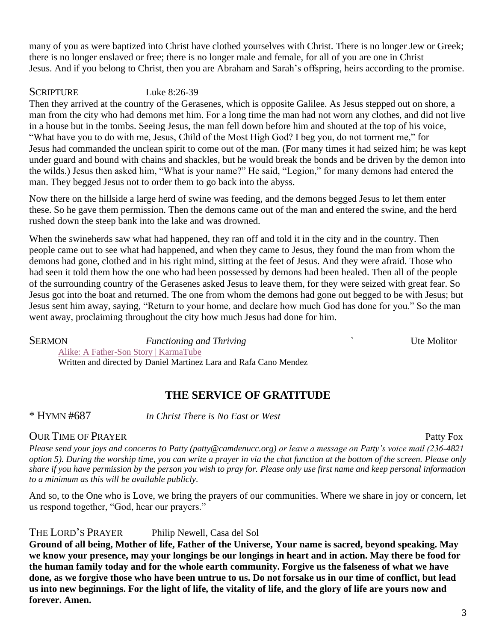many of you as were baptized into Christ have clothed yourselves with Christ. There is no longer Jew or Greek; there is no longer enslaved or free; there is no longer male and female, for all of you are one in Christ Jesus. And if you belong to Christ, then you are Abraham and Sarah's offspring, heirs according to the promise.

### SCRIPTURE Luke 8:26-39

Then they arrived at the country of the Gerasenes, which is opposite Galilee. As Jesus stepped out on shore, a man from the city who had demons met him. For a long time the man had not worn any clothes, and did not live in a house but in the tombs. Seeing Jesus, the man fell down before him and shouted at the top of his voice, "What have you to do with me, Jesus, Child of the Most High God? I beg you, do not torment me," for Jesus had commanded the unclean spirit to come out of the man. (For many times it had seized him; he was kept under guard and bound with chains and shackles, but he would break the bonds and be driven by the demon into the wilds.) Jesus then asked him, "What is your name?" He said, "Legion," for many demons had entered the man. They begged Jesus not to order them to go back into the abyss.

Now there on the hillside a large herd of swine was feeding, and the demons begged Jesus to let them enter these. So he gave them permission. Then the demons came out of the man and entered the swine, and the herd rushed down the steep bank into the lake and was drowned.

When the swineherds saw what had happened, they ran off and told it in the city and in the country. Then people came out to see what had happened, and when they came to Jesus, they found the man from whom the demons had gone, clothed and in his right mind, sitting at the feet of Jesus. And they were afraid. Those who had seen it told them how the one who had been possessed by demons had been healed. Then all of the people of the surrounding country of the Gerasenes asked Jesus to leave them, for they were seized with great fear. So Jesus got into the boat and returned. The one from whom the demons had gone out begged to be with Jesus; but Jesus sent him away, saying, "Return to your home, and declare how much God has done for you." So the man went away, proclaiming throughout the city how much Jesus had done for him.

**SERMON** *Functioning and Thriving COMP COMP COMP COMP COMP COMP COMP COMP COMP COMP COMP COMP COMP COMP COMP COMP COMP COMP COMP COMP COMP* [Alike: A Father-Son Story | KarmaTube](https://www.karmatube.org/videos.php?id=7609) Written and directed by Daniel Martinez Lara and Rafa Cano Mendez

### **THE SERVICE OF GRATITUDE**

\* HYMN #687 *In Christ There is No East or West*

### OUR TIME OF PRAYER Patty Fox

*Please send your joys and concerns to Patty (patty@camdenucc.org) or leave a message on Patty's voice mail (236-4821 option 5). During the worship time, you can write a prayer in via the chat function at the bottom of the screen. Please only share if you have permission by the person you wish to pray for. Please only use first name and keep personal information to a minimum as this will be available publicly.*

And so, to the One who is Love, we bring the prayers of our communities. Where we share in joy or concern, let us respond together, "God, hear our prayers."

THE LORD'S PRAYER Philip Newell, Casa del Sol

**Ground of all being, Mother of life, Father of the Universe, Your name is sacred, beyond speaking. May we know your presence, may your longings be our longings in heart and in action. May there be food for the human family today and for the whole earth community. Forgive us the falseness of what we have done, as we forgive those who have been untrue to us. Do not forsake us in our time of conflict, but lead us into new beginnings. For the light of life, the vitality of life, and the glory of life are yours now and forever. Amen.**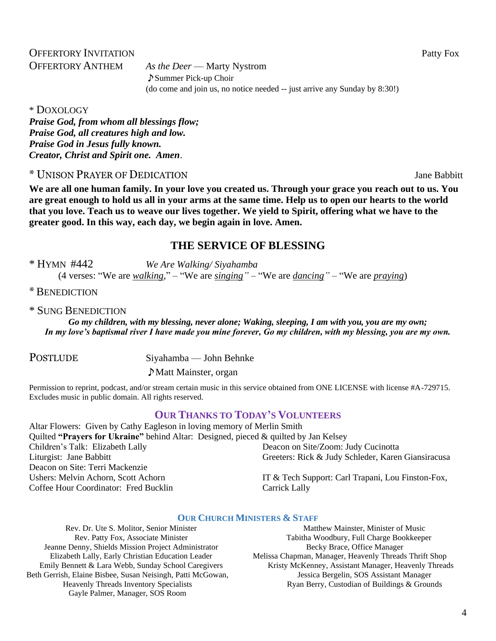# **OFFERTORY INVITATION** Patty Fox

OFFERTORY ANTHEM *As the Deer* –– Marty Nystrom ♪Summer Pick-up Choir (do come and join us, no notice needed -- just arrive any Sunday by 8:30!)

\* DOXOLOGY

*Praise God, from whom all blessings flow; Praise God, all creatures high and low. Praise God in Jesus fully known. Creator, Christ and Spirit one. Amen*.

### \* UNISON PRAYER OF DEDICATION Jane Babbitt

**We are all one human family. In your love you created us. Through your grace you reach out to us. You are great enough to hold us all in your arms at the same time. Help us to open our hearts to the world that you love. Teach us to weave our lives together. We yield to Spirit, offering what we have to the greater good. In this way, each day, we begin again in love. Amen.** 

## **THE SERVICE OF BLESSING**

\* HYMN #442 *We Are Walking/ Siyahamba*  (4 verses: "We are *walking*," – "We are *singing"* – "We are *dancing"* – "We are *praying*)

\*BENEDICTION

\* SUNG BENEDICTION

*Go my children, with my blessing, never alone; Waking, sleeping, I am with you, you are my own; In my love's baptismal river I have made you mine forever, Go my children, with my blessing, you are my own.*

POSTLUDE Siyahamba — John Behnke

♪Matt Mainster, organ

Permission to reprint, podcast, and/or stream certain music in this service obtained from ONE LICENSE with license #A-729715. Excludes music in public domain. All rights reserved.

### **OUR THANKS TO TODAY'S VOLUNTEERS**

Altar Flowers: Given by Cathy Eagleson in loving memory of Merlin Smith Quilted **"Prayers for Ukraine"** behind Altar: Designed, pieced & quilted by Jan Kelsey Children's Talk: Elizabeth Lally Liturgist: Jane Babbitt Deacon on Site: Terri Mackenzie Deacon on Site/Zoom: Judy Cucinotta Greeters: Rick & Judy Schleder, Karen Giansiracusa Ushers: Melvin Achorn, Scott Achorn Coffee Hour Coordinator: Fred Bucklin IT & Tech Support: Carl Trapani, Lou Finston-Fox, Carrick Lally

### **OUR CHURCH MINISTERS & STAFF**

Rev. Dr. Ute S. Molitor, Senior Minister Rev. Patty Fox, Associate Minister Jeanne Denny, Shields Mission Project Administrator Elizabeth Lally, Early Christian Education Leader Emily Bennett & Lara Webb, Sunday School Caregivers Beth Gerrish, Elaine Bisbee, Susan Neisingh, Patti McGowan, Heavenly Threads Inventory Specialists Gayle Palmer, Manager, SOS Room

Matthew Mainster, Minister of Music Tabitha Woodbury, Full Charge Bookkeeper Becky Brace, Office Manager Melissa Chapman, Manager, Heavenly Threads Thrift Shop Kristy McKenney, Assistant Manager, Heavenly Threads Jessica Bergelin, SOS Assistant Manager Ryan Berry, Custodian of Buildings & Grounds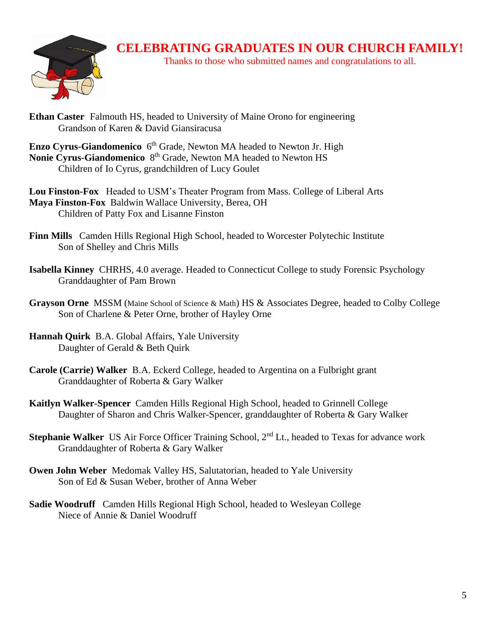

**CELEBRATING GRADUATES IN OUR CHURCH FAMILY!**

Thanks to those who submitted names and congratulations to all.

- **Ethan Caster** Falmouth HS, headed to University of Maine Orono for engineering Grandson of Karen & David Giansiracusa
- **Enzo Cyrus-Giandomenico** 6 th Grade, Newton MA headed to Newton Jr. High **Nonie Cyrus-Giandomenico** 8 th Grade, Newton MA headed to Newton HS Children of Io Cyrus, grandchildren of Lucy Goulet
- **Lou Finston-Fox** Headed to USM's Theater Program from Mass. College of Liberal Arts **Maya Finston-Fox** Baldwin Wallace University, Berea, OH Children of Patty Fox and Lisanne Finston
- **Finn Mills** Camden Hills Regional High School, headed to Worcester Polytechic Institute Son of Shelley and Chris Mills
- **Isabella Kinney** CHRHS, 4.0 average. Headed to Connecticut College to study Forensic Psychology Granddaughter of Pam Brown
- **Grayson Orne** MSSM (Maine School of Science & Math) HS & Associates Degree, headed to Colby College Son of Charlene & Peter Orne, brother of Hayley Orne
- **Hannah Quirk** B.A. Global Affairs, Yale University Daughter of Gerald & Beth Quirk
- **Carole (Carrie) Walker** B.A. Eckerd College, headed to Argentina on a Fulbright grant Granddaughter of Roberta & Gary Walker
- **Kaitlyn Walker-Spencer** Camden Hills Regional High School, headed to Grinnell College Daughter of Sharon and Chris Walker-Spencer, granddaughter of Roberta & Gary Walker
- **Stephanie Walker** US Air Force Officer Training School, 2<sup>nd</sup> Lt., headed to Texas for advance work Granddaughter of Roberta & Gary Walker
- **Owen John Weber** Medomak Valley HS, Salutatorian, headed to Yale University Son of Ed & Susan Weber, brother of Anna Weber
- **Sadie Woodruff** Camden Hills Regional High School, headed to Wesleyan College Niece of Annie & Daniel Woodruff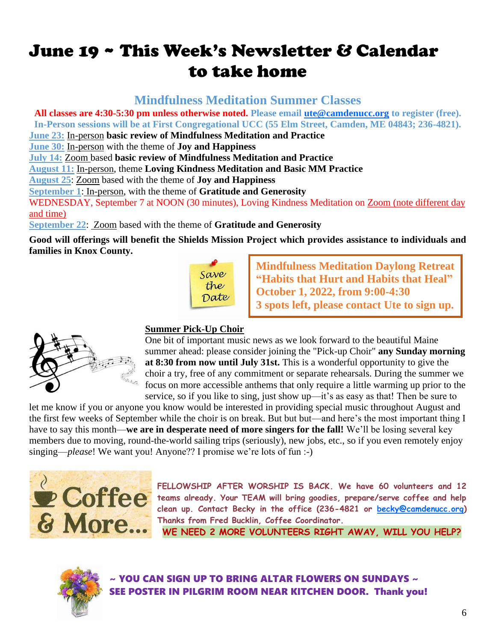# June 19 ~ This Week's Newsletter & Calendar to take home

## **Mindfulness Meditation Summer Classes**

**All classes are 4:30-5:30 pm unless otherwise noted. Please email [ute@camdenucc.org](mailto:ute@camdenucc.org) to register (free). In-Person sessions will be at First Congregational UCC (55 Elm Street, Camden, ME 04843; 236-4821).**

**June 23:** In-person **basic review of Mindfulness Meditation and Practice**

**June 30:** In-person with the theme of **Joy and Happiness**

**July 14:** Zoom based **basic review of Mindfulness Meditation and Practice**

**August 11:** In-person, theme **Loving Kindness Meditation and Basic MM Practice**

**August 25**: Zoom based with the theme of **Joy and Happiness**

**September 1**: In-person, with the theme of **Gratitude and Generosity**

WEDNESDAY, September 7 at NOON (30 minutes), Loving Kindness Meditation on Zoom (note different day and time)

**September 22**: Zoom based with the theme of **Gratitude and Generosity**

**Good will offerings will benefit the Shields Mission Project which provides assistance to individuals and families in Knox County.**



**Mindfulness Meditation Daylong Retreat "Habits that Hurt and Habits that Heal" October 1, 2022, from 9:00-4:30 3 spots left, please contact Ute to sign up.**



### **Summer Pick-Up Choir**

One bit of important music news as we look forward to the beautiful Maine summer ahead: please consider joining the "Pick-up Choir" **any Sunday morning at 8:30 from now until July 31st.** This is a wonderful opportunity to give the choir a try, free of any commitment or separate rehearsals. During the summer we focus on more accessible anthems that only require a little warming up prior to the service, so if you like to sing, just show up—it's as easy as that! Then be sure to

let me know if you or anyone you know would be interested in providing special music throughout August and the first few weeks of September while the choir is on break. But but but––and here's the most important thing I have to say this month––**we are in desperate need of more singers for the fall!** We'll be losing several key members due to moving, round-the-world sailing trips (seriously), new jobs, etc., so if you even remotely enjoy singing––*please*! We want you! Anyone?? I promise we're lots of fun :-)



**FELLOWSHIP AFTER WORSHIP IS BACK. We have 60 volunteers and 12 teams already. Your TEAM will bring goodies, prepare/serve coffee and help clean up. Contact Becky in the office (236-4821 or [becky@camdenucc.org\)](mailto:becky@camdenucc.org) Thanks from Fred Bucklin, Coffee Coordinator.**

**WE NEED 2 MORE VOLUNTEERS RIGHT AWAY, WILL YOU HELP?**



 $\sim$  YOU CAN SIGN UP TO BRING ALTAR FLOWERS ON SUNDAYS  $\sim$ SEE POSTER IN PILGRIM ROOM NEAR KITCHEN DOOR. Thank you!